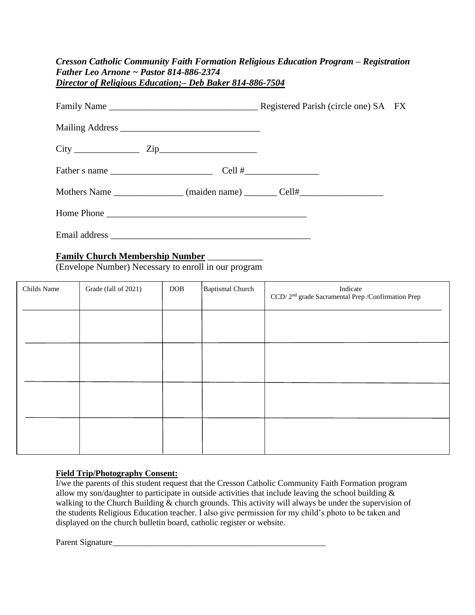| Cresson Catholic Community Faith Formation Religious Education Program – Registration |
|---------------------------------------------------------------------------------------|
| Father Leo Arnone ~ Pastor 814-886-2374                                               |
| Director of Religious Education; – Deb Baker 814-886-7504                             |

| Mothers Name ________________ (maiden name) ________ Cell#______________________ |  |
|----------------------------------------------------------------------------------|--|
|                                                                                  |  |
| Email address                                                                    |  |

#### **Family Church Membership Number** \_\_\_\_\_\_\_\_\_\_\_\_

(Envelope Number) Necessary to enroll in our program

| Childs Name | Grade (fall of 2021) | <b>DOB</b> | <b>Baptismal Church</b> | Indicate<br>CCD/2 <sup>nd</sup> grade Sacramental Prep /Confirmation Prep |
|-------------|----------------------|------------|-------------------------|---------------------------------------------------------------------------|
|             |                      |            |                         |                                                                           |
|             |                      |            |                         |                                                                           |
|             |                      |            |                         |                                                                           |
|             |                      |            |                         |                                                                           |

#### **Field Trip/Photography Consent:**

I/we the parents of this student request that the Cresson Catholic Community Faith Formation program allow my son/daughter to participate in outside activities that include leaving the school building & walking to the Church Building & church grounds. This activity will always be under the supervision of the students Religious Education teacher. I also give permission for my child's photo to be taken and displayed on the church bulletin board, catholic register or website.

Parent Signature\_\_\_\_\_\_\_\_\_\_\_\_\_\_\_\_\_\_\_\_\_\_\_\_\_\_\_\_\_\_\_\_\_\_\_\_\_\_\_\_\_\_\_\_\_\_\_\_\_\_